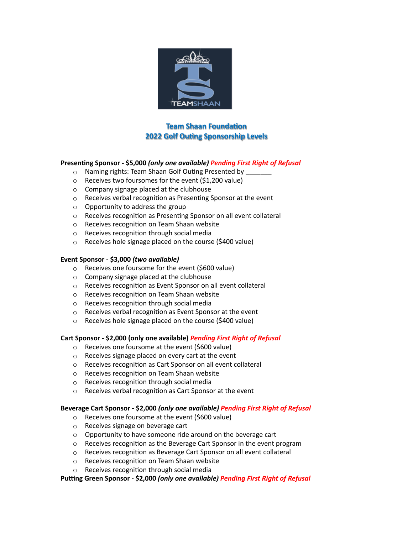

# **Team Shaan Foundation 2022 Golf Outing Sponsorship Levels**

# **Presenting Sponsor - \$5,000** *(only one available) Pending First Right of Refusal*

- $\circ$  Naming rights: Team Shaan Golf Outing Presented by
- $\circ$  Receives two foursomes for the event (\$1,200 value)
- o Company signage placed at the clubhouse
- o Receives verbal recognition as Presenting Sponsor at the event
- o Opportunity to address the group
- o Receives recognition as Presenting Sponsor on all event collateral
- o Receives recognition on Team Shaan website
- o Receives recognition through social media
- o Receives hole signage placed on the course (\$400 value)

## **Event Sponsor - \$3,000** *(two available)*

- o Receives one foursome for the event (\$600 value)
- o Company signage placed at the clubhouse
- o Receives recognition as Event Sponsor on all event collateral
- o Receives recognition on Team Shaan website
- o Receives recognition through social media
- o Receives verbal recognition as Event Sponsor at the event
- o Receives hole signage placed on the course (\$400 value)

#### **Cart Sponsor - \$2,000 (only one available)** *Pending First Right of Refusal*

- o Receives one foursome at the event (\$600 value)
- o Receives signage placed on every cart at the event
- o Receives recognition as Cart Sponsor on all event collateral
- o Receives recognition on Team Shaan website
- o Receives recognition through social media
- o Receives verbal recognition as Cart Sponsor at the event

#### **Beverage Cart Sponsor - \$2,000** *(only one available) Pending First Right of Refusal*

- o Receives one foursome at the event (\$600 value)
- o Receives signage on beverage cart
- $\circ$  Opportunity to have someone ride around on the beverage cart
- o Receives recognition as the Beverage Cart Sponsor in the event program
- o Receives recognition as Beverage Cart Sponsor on all event collateral
- o Receives recognition on Team Shaan website
- o Receives recognition through social media

**Putting Green Sponsor - \$2,000** *(only one available) Pending First Right of Refusal*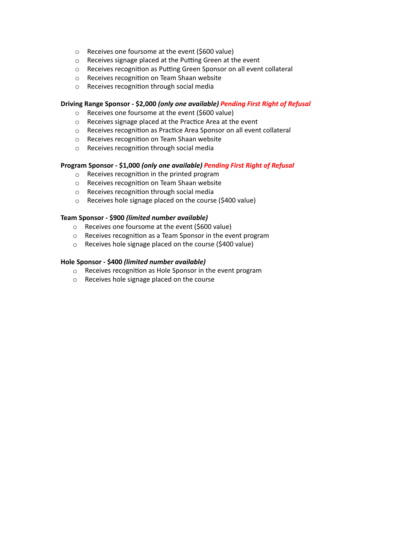- o Receives one foursome at the event (\$600 value)
- o Receives signage placed at the Putting Green at the event
- o Receives recognition as Putting Green Sponsor on all event collateral
- o Receives recognition on Team Shaan website
- o Receives recognition through social media

## **Driving Range Sponsor - \$2,000** *(only one available) Pending First Right of Refusal*

- o Receives one foursome at the event (\$600 value)
- o Receives signage placed at the Practice Area at the event
- o Receives recognition as Practice Area Sponsor on all event collateral
- o Receives recognition on Team Shaan website
- o Receives recognition through social media

## **Program Sponsor - \$1,000** *(only one available) Pending First Right of Refusal*

- o Receives recognition in the printed program
- o Receives recognition on Team Shaan website
- o Receives recognition through social media
- o Receives hole signage placed on the course (\$400 value)

#### **Team Sponsor - \$900** *(limited number available)*

- $\circ$  Receives one foursome at the event (\$600 value)
- o Receives recognition as a Team Sponsor in the event program
- o Receives hole signage placed on the course (\$400 value)

## **Hole Sponsor - \$400** *(limited number available)*

- o Receives recognition as Hole Sponsor in the event program
- o Receives hole signage placed on the course